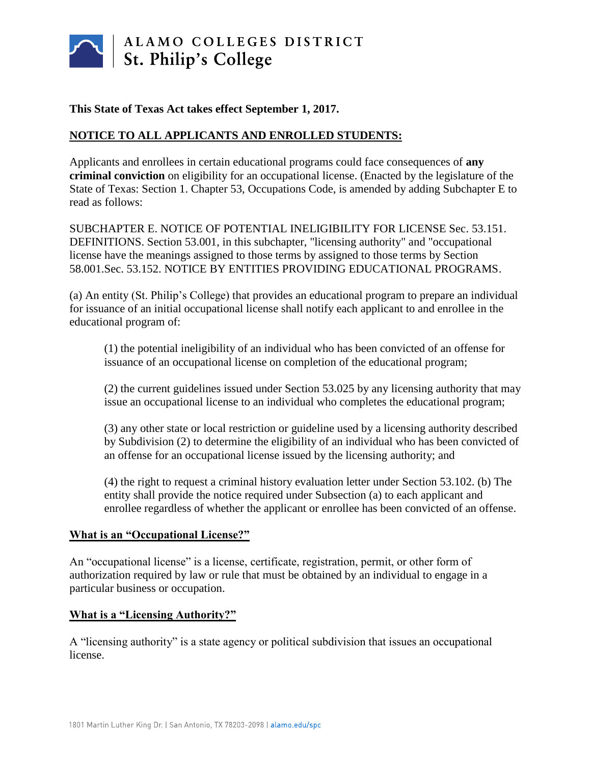

### **This State of Texas Act takes effect September 1, 2017.**

## **NOTICE TO ALL APPLICANTS AND ENROLLED STUDENTS:**

Applicants and enrollees in certain educational programs could face consequences of **any criminal conviction** on eligibility for an occupational license. (Enacted by the legislature of the State of Texas: Section 1. Chapter 53, Occupations Code, is amended by adding Subchapter E to read as follows:

SUBCHAPTER E. NOTICE OF POTENTIAL INELIGIBILITY FOR LICENSE Sec. 53.151. DEFINITIONS. Section 53.001, in this subchapter, "licensing authority" and "occupational license have the meanings assigned to those terms by assigned to those terms by Section 58.001.Sec. 53.152. NOTICE BY ENTITIES PROVIDING EDUCATIONAL PROGRAMS.

(a) An entity (St. Philip's College) that provides an educational program to prepare an individual for issuance of an initial occupational license shall notify each applicant to and enrollee in the educational program of:

(1) the potential ineligibility of an individual who has been convicted of an offense for issuance of an occupational license on completion of the educational program;

(2) the current guidelines issued under Section 53.025 by any licensing authority that may issue an occupational license to an individual who completes the educational program;

(3) any other state or local restriction or guideline used by a licensing authority described by Subdivision (2) to determine the eligibility of an individual who has been convicted of an offense for an occupational license issued by the licensing authority; and

(4) the right to request a criminal history evaluation letter under Section 53.102. (b) The entity shall provide the notice required under Subsection (a) to each applicant and enrollee regardless of whether the applicant or enrollee has been convicted of an offense.

#### **What is an "Occupational License?"**

An "occupational license" is a license, certificate, registration, permit, or other form of authorization required by law or rule that must be obtained by an individual to engage in a particular business or occupation.

#### **What is a "Licensing Authority?"**

A "licensing authority" is a state agency or political subdivision that issues an occupational license.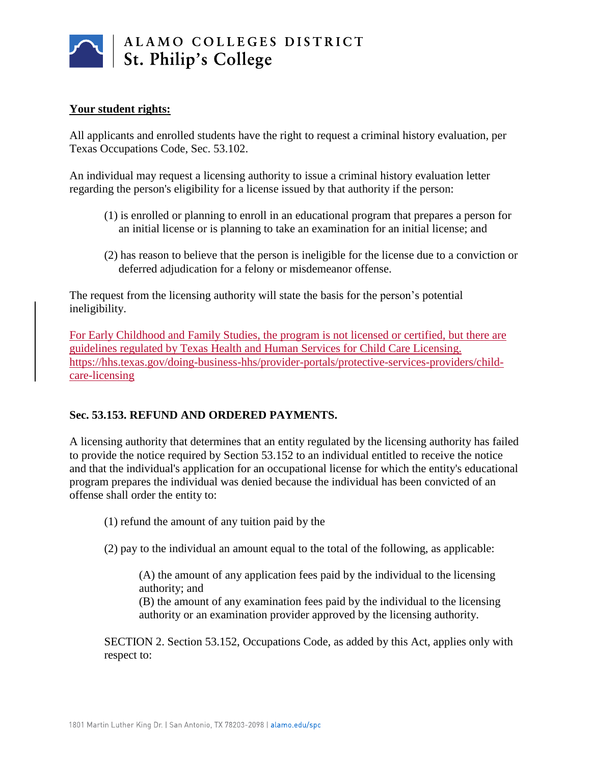

## **Your student rights:**

All applicants and enrolled students have the right to request a criminal history evaluation, per Texas Occupations Code, Sec. 53.102.

An individual may request a licensing authority to issue a criminal history evaluation letter regarding the person's eligibility for a license issued by that authority if the person:

- (1) is enrolled or planning to enroll in an educational program that prepares a person for an initial license or is planning to take an examination for an initial license; and
- (2) has reason to believe that the person is ineligible for the license due to a conviction or deferred adjudication for a felony or misdemeanor offense.

The request from the licensing authority will state the basis for the person's potential ineligibility.

For Early Childhood and Family Studies, the program is not licensed or certified, but there are guidelines regulated by Texas Health and Human Services for Child Care Licensing. [https://hhs.texas.gov/doing-business-hhs/provider-portals/protective-services-providers/child](https://hhs.texas.gov/doing-business-hhs/provider-portals/protective-services-providers/child-care-licensing)[care-licensing](https://hhs.texas.gov/doing-business-hhs/provider-portals/protective-services-providers/child-care-licensing)

# **Sec. 53.153. REFUND AND ORDERED PAYMENTS.**

A licensing authority that determines that an entity regulated by the licensing authority has failed to provide the notice required by Section 53.152 to an individual entitled to receive the notice and that the individual's application for an occupational license for which the entity's educational program prepares the individual was denied because the individual has been convicted of an offense shall order the entity to:

(1) refund the amount of any tuition paid by the

(2) pay to the individual an amount equal to the total of the following, as applicable:

(A) the amount of any application fees paid by the individual to the licensing authority; and

(B) the amount of any examination fees paid by the individual to the licensing authority or an examination provider approved by the licensing authority.

SECTION 2. Section 53.152, Occupations Code, as added by this Act, applies only with respect to: